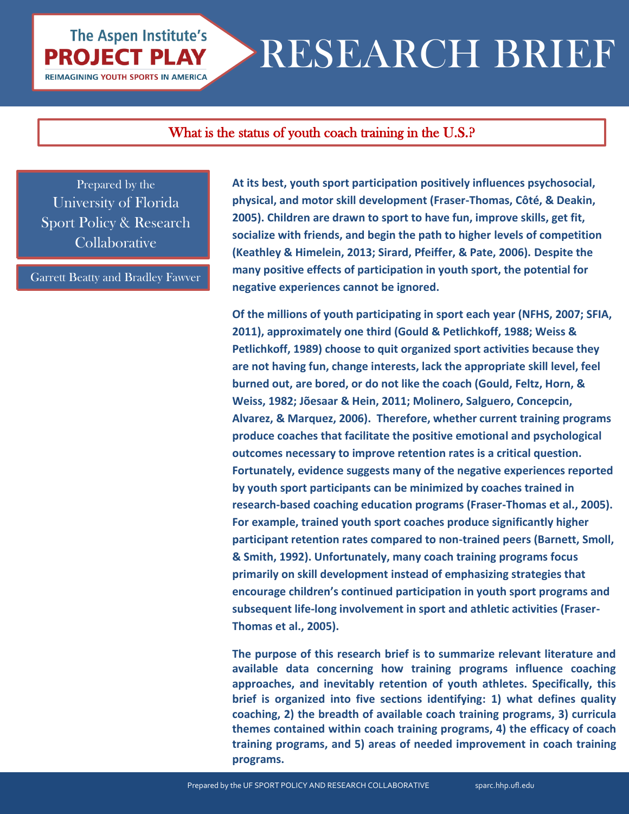# RESEARCH BRIEF

### What is the status of youth coach training in the U.S.?

Prepared by the University of Florida Sport Policy & Research **Collaborative** 

**The Aspen Institute's** 

**PROJECT PLAY REIMAGINING YOUTH SPORTS IN AMERICA** 

Garrett Beatty and Bradley Fawver

**At its best, youth sport participation positively influences psychosocial, physical, and motor skill development (Fraser-Thomas, Côté, & Deakin, 2005). Children are drawn to sport to have fun, improve skills, get fit, socialize with friends, and begin the path to higher levels of competition (Keathley & Himelein, 2013; Sirard, Pfeiffer, & Pate, 2006). Despite the many positive effects of participation in youth sport, the potential for negative experiences cannot be ignored.** 

**Of the millions of youth participating in sport each year (NFHS, 2007; SFIA, 2011), approximately one third (Gould & Petlichkoff, 1988; Weiss & Petlichkoff, 1989) choose to quit organized sport activities because they are not having fun, change interests, lack the appropriate skill level, feel burned out, are bored, or do not like the coach (Gould, Feltz, Horn, & Weiss, 1982; Jõesaar & Hein, 2011; Molinero, Salguero, Concepcin, Alvarez, & Marquez, 2006). Therefore, whether current training programs produce coaches that facilitate the positive emotional and psychological outcomes necessary to improve retention rates is a critical question. Fortunately, evidence suggests many of the negative experiences reported by youth sport participants can be minimized by coaches trained in research-based coaching education programs (Fraser-Thomas et al., 2005). For example, trained youth sport coaches produce significantly higher participant retention rates compared to non-trained peers (Barnett, Smoll, & Smith, 1992). Unfortunately, many coach training programs focus primarily on skill development instead of emphasizing strategies that encourage children's continued participation in youth sport programs and subsequent life-long involvement in sport and athletic activities (Fraser-Thomas et al., 2005).**

**The purpose of this research brief is to summarize relevant literature and available data concerning how training programs influence coaching approaches, and inevitably retention of youth athletes. Specifically, this brief is organized into five sections identifying: 1) what defines quality coaching, 2) the breadth of available coach training programs, 3) curricula themes contained within coach training programs, 4) the efficacy of coach training programs, and 5) areas of needed improvement in coach training programs.**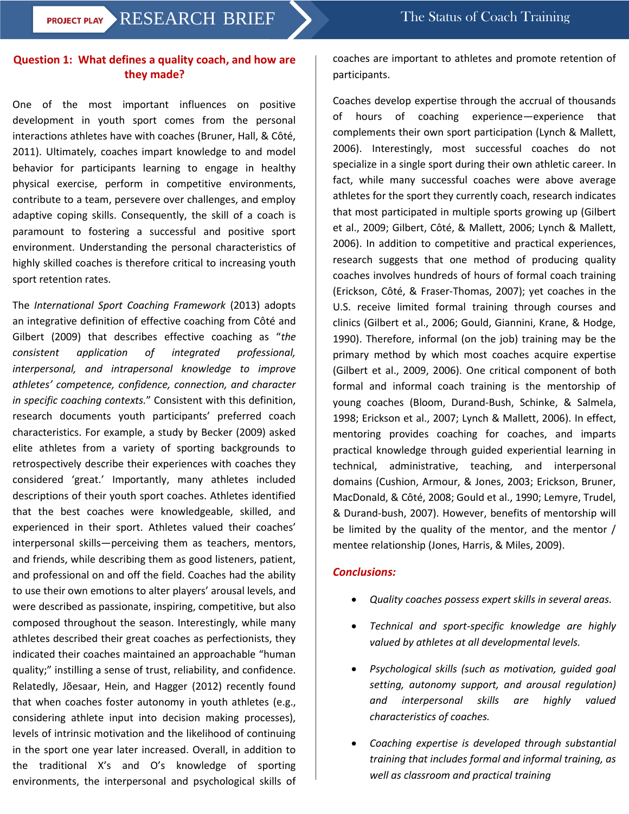#### **Question 1: What defines a quality coach, and how are they made?**

One of the most important influences on positive development in youth sport comes from the personal interactions athletes have with coaches (Bruner, Hall, & Côté, 2011). Ultimately, coaches impart knowledge to and model behavior for participants learning to engage in healthy physical exercise, perform in competitive environments, contribute to a team, persevere over challenges, and employ adaptive coping skills. Consequently, the skill of a coach is paramount to fostering a successful and positive sport environment. Understanding the personal characteristics of highly skilled coaches is therefore critical to increasing youth sport retention rates.

The *International Sport Coaching Framework* (2013) adopts an integrative definition of effective coaching from Côté and Gilbert (2009) that describes effective coaching as "*the consistent application of integrated professional, interpersonal, and intrapersonal knowledge to improve athletes' competence, confidence, connection, and character in specific coaching contexts.*" Consistent with this definition, research documents youth participants' preferred coach characteristics. For example, a study by Becker (2009) asked elite athletes from a variety of sporting backgrounds to retrospectively describe their experiences with coaches they considered 'great.' Importantly, many athletes included descriptions of their youth sport coaches. Athletes identified that the best coaches were knowledgeable, skilled, and experienced in their sport. Athletes valued their coaches' interpersonal skills—perceiving them as teachers, mentors, and friends, while describing them as good listeners, patient, and professional on and off the field. Coaches had the ability to use their own emotions to alter players' arousal levels, and were described as passionate, inspiring, competitive, but also composed throughout the season. Interestingly, while many athletes described their great coaches as perfectionists, they indicated their coaches maintained an approachable "human quality;" instilling a sense of trust, reliability, and confidence. Relatedly, Jõesaar, Hein, and Hagger (2012) recently found that when coaches foster autonomy in youth athletes (e.g., considering athlete input into decision making processes), levels of intrinsic motivation and the likelihood of continuing in the sport one year later increased. Overall, in addition to the traditional X's and O's knowledge of sporting environments, the interpersonal and psychological skills of coaches are important to athletes and promote retention of participants.

Coaches develop expertise through the accrual of thousands of hours of coaching experience—experience that complements their own sport participation (Lynch & Mallett, 2006). Interestingly, most successful coaches do not specialize in a single sport during their own athletic career. In fact, while many successful coaches were above average athletes for the sport they currently coach, research indicates that most participated in multiple sports growing up (Gilbert et al., 2009; Gilbert, Côté, & Mallett, 2006; Lynch & Mallett, 2006). In addition to competitive and practical experiences, research suggests that one method of producing quality coaches involves hundreds of hours of formal coach training (Erickson, Côté, & Fraser-Thomas, 2007); yet coaches in the U.S. receive limited formal training through courses and clinics (Gilbert et al., 2006; Gould, Giannini, Krane, & Hodge, 1990). Therefore, informal (on the job) training may be the primary method by which most coaches acquire expertise (Gilbert et al., 2009, 2006). One critical component of both formal and informal coach training is the mentorship of young coaches (Bloom, Durand-Bush, Schinke, & Salmela, 1998; Erickson et al., 2007; Lynch & Mallett, 2006). In effect, mentoring provides coaching for coaches, and imparts practical knowledge through guided experiential learning in technical, administrative, teaching, and interpersonal domains (Cushion, Armour, & Jones, 2003; Erickson, Bruner, MacDonald, & Côté, 2008; Gould et al., 1990; Lemyre, Trudel, & Durand-bush, 2007). However, benefits of mentorship will be limited by the quality of the mentor, and the mentor / mentee relationship (Jones, Harris, & Miles, 2009).

#### *Conclusions:*

- *Quality coaches possess expert skills in several areas.*
- *Technical and sport-specific knowledge are highly valued by athletes at all developmental levels.*
- *Psychological skills (such as motivation, guided goal setting, autonomy support, and arousal regulation) and interpersonal skills are highly valued characteristics of coaches.*
- *Coaching expertise is developed through substantial training that includes formal and informal training, as well as classroom and practical training*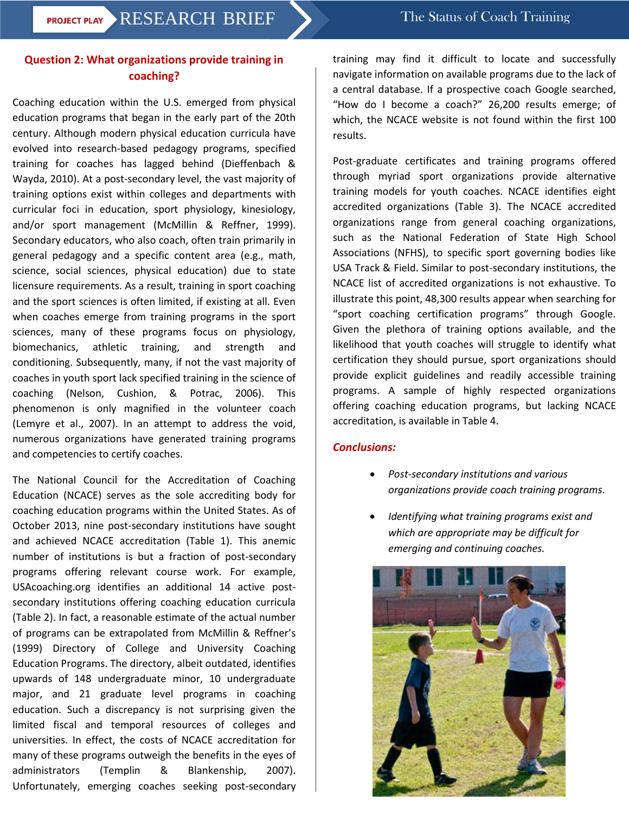#### **Question 2: What organizations provide training in coaching?**

Coaching education within the U.S. emerged from physical education programs that began in the early part of the 20th century. Although modern physical education curricula have evolved into research-based pedagogy programs, specified training for coaches has lagged behind (Dieffenbach & Wayda, 2010). At a post-secondary level, the vast majority of training options exist within colleges and departments with curricular foci in education, sport physiology, kinesiology, and/or sport management (McMillin & Reffner, 1999). Secondary educators, who also coach, often train primarily in general pedagogy and a specific content area (e.g., math, science, social sciences, physical education) due to state licensure requirements. As a result, training in sport coaching and the sport sciences is often limited, if existing at all. Even when coaches emerge from training programs in the sport sciences, many of these programs focus on physiology, biomechanics, athletic training, and strength and conditioning. Subsequently, many, if not the vast majority of coaches in youth sport lack specified training in the science of coaching (Nelson, Cushion, & Potrac, 2006). This phenomenon is only magnified in the volunteer coach (Lemyre et al., 2007). In an attempt to address the void, numerous organizations have generated training programs and competencies to certify coaches.

The National Council for the Accreditation of Coaching Education (NCACE) serves as the sole accrediting body for coaching education programs within the United States. As of October 2013, nine post-secondary institutions have sought and achieved NCACE accreditation (Table 1). This anemic number of institutions is but a fraction of post-secondary programs offering relevant course work. For example, USAcoaching.org identifies an additional 14 active postsecondary institutions offering coaching education curricula (Table 2). In fact, a reasonable estimate of the actual number of programs can be extrapolated from McMillin & Reffner's (1999) Directory of College and University Coaching Education Programs. The directory, albeit outdated, identifies upwards of 148 undergraduate minor, 10 undergraduate major, and 21 graduate level programs in coaching education. Such a discrepancy is not surprising given the limited fiscal and temporal resources of colleges and universities. In effect, the costs of NCACE accreditation for many of these programs outweigh the benefits in the eyes of administrators (Templin & Blankenship, 2007). Unfortunately, emerging coaches seeking post-secondary

training may find it difficult to locate and successfully navigate information on available programs due to the lack of a central database. If a prospective coach Google searched, "How do I become a coach?" 26,200 results emerge; of which, the NCACE website is not found within the first 100 results.

Post-graduate certificates and training programs offered through myriad sport organizations provide alternative training models for youth coaches. NCACE identifies eight accredited organizations (Table 3). The NCACE accredited organizations range from general coaching organizations, such as the National Federation of State High School Associations (NFHS), to specific sport governing bodies like USA Track & Field. Similar to post-secondary institutions, the NCACE list of accredited organizations is not exhaustive. To illustrate this point, 48,300 results appear when searching for "sport coaching certification programs" through Google. Given the plethora of training options available, and the likelihood that youth coaches will struggle to identify what certification they should pursue, sport organizations should provide explicit guidelines and readily accessible training programs. A sample of highly respected organizations offering coaching education programs, but lacking NCACE accreditation, is available in Table 4.

#### *Conclusions:*

- *Post-secondary institutions and various organizations provide coach training programs.*
- *Identifying what training programs exist and which are appropriate may be difficult for emerging and continuing coaches.*

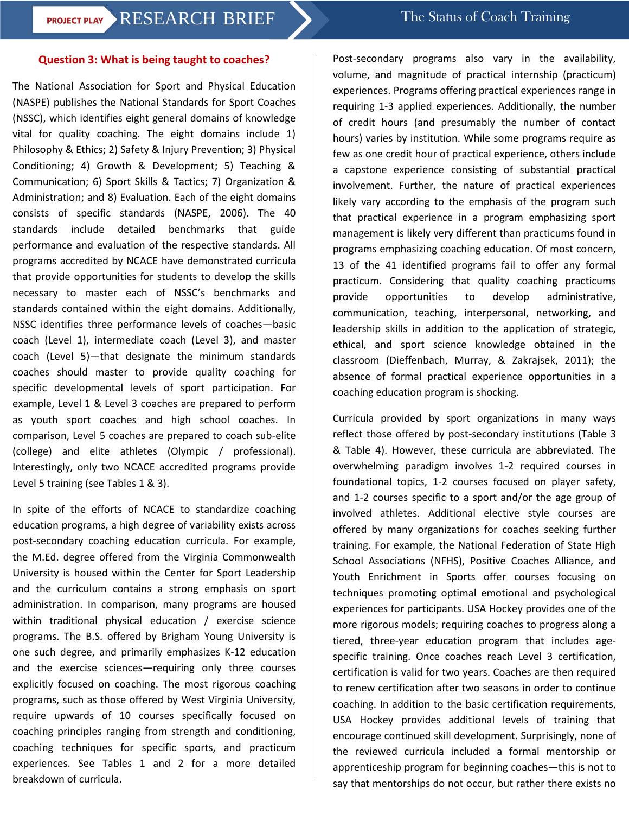### **PROJECT PLAY RESEARCH BRIEF** The Status of Coach Training

#### **Question 3: What is being taught to coaches?**

The National Association for Sport and Physical Education (NASPE) publishes the National Standards for Sport Coaches (NSSC), which identifies eight general domains of knowledge vital for quality coaching. The eight domains include 1) Philosophy & Ethics; 2) Safety & Injury Prevention; 3) Physical Conditioning; 4) Growth & Development; 5) Teaching & Communication; 6) Sport Skills & Tactics; 7) Organization & Administration; and 8) Evaluation. Each of the eight domains consists of specific standards (NASPE, 2006). The 40 standards include detailed benchmarks that guide performance and evaluation of the respective standards. All programs accredited by NCACE have demonstrated curricula that provide opportunities for students to develop the skills necessary to master each of NSSC's benchmarks and standards contained within the eight domains. Additionally, NSSC identifies three performance levels of coaches—basic coach (Level 1), intermediate coach (Level 3), and master coach (Level 5)—that designate the minimum standards coaches should master to provide quality coaching for specific developmental levels of sport participation. For example, Level 1 & Level 3 coaches are prepared to perform as youth sport coaches and high school coaches. In comparison, Level 5 coaches are prepared to coach sub-elite (college) and elite athletes (Olympic / professional). Interestingly, only two NCACE accredited programs provide Level 5 training (see Tables 1 & 3).

In spite of the efforts of NCACE to standardize coaching education programs, a high degree of variability exists across post-secondary coaching education curricula. For example, the M.Ed. degree offered from the Virginia Commonwealth University is housed within the Center for Sport Leadership and the curriculum contains a strong emphasis on sport administration. In comparison, many programs are housed within traditional physical education / exercise science programs. The B.S. offered by Brigham Young University is one such degree, and primarily emphasizes K-12 education and the exercise sciences—requiring only three courses explicitly focused on coaching. The most rigorous coaching programs, such as those offered by West Virginia University, require upwards of 10 courses specifically focused on coaching principles ranging from strength and conditioning, coaching techniques for specific sports, and practicum experiences. See Tables 1 and 2 for a more detailed breakdown of curricula.

Post-secondary programs also vary in the availability, volume, and magnitude of practical internship (practicum) experiences. Programs offering practical experiences range in requiring 1-3 applied experiences. Additionally, the number of credit hours (and presumably the number of contact hours) varies by institution. While some programs require as few as one credit hour of practical experience, others include a capstone experience consisting of substantial practical involvement. Further, the nature of practical experiences likely vary according to the emphasis of the program such that practical experience in a program emphasizing sport management is likely very different than practicums found in programs emphasizing coaching education. Of most concern, 13 of the 41 identified programs fail to offer any formal practicum. Considering that quality coaching practicums provide opportunities to develop administrative, communication, teaching, interpersonal, networking, and leadership skills in addition to the application of strategic, ethical, and sport science knowledge obtained in the classroom (Dieffenbach, Murray, & Zakrajsek, 2011); the absence of formal practical experience opportunities in a coaching education program is shocking.

Curricula provided by sport organizations in many ways reflect those offered by post-secondary institutions (Table 3 & Table 4). However, these curricula are abbreviated. The overwhelming paradigm involves 1-2 required courses in foundational topics, 1-2 courses focused on player safety, and 1-2 courses specific to a sport and/or the age group of involved athletes. Additional elective style courses are offered by many organizations for coaches seeking further training. For example, the National Federation of State High School Associations (NFHS), Positive Coaches Alliance, and Youth Enrichment in Sports offer courses focusing on techniques promoting optimal emotional and psychological experiences for participants. USA Hockey provides one of the more rigorous models; requiring coaches to progress along a tiered, three-year education program that includes agespecific training. Once coaches reach Level 3 certification, certification is valid for two years. Coaches are then required to renew certification after two seasons in order to continue coaching. In addition to the basic certification requirements, USA Hockey provides additional levels of training that encourage continued skill development. Surprisingly, none of the reviewed curricula included a formal mentorship or apprenticeship program for beginning coaches—this is not to say that mentorships do not occur, but rather there exists no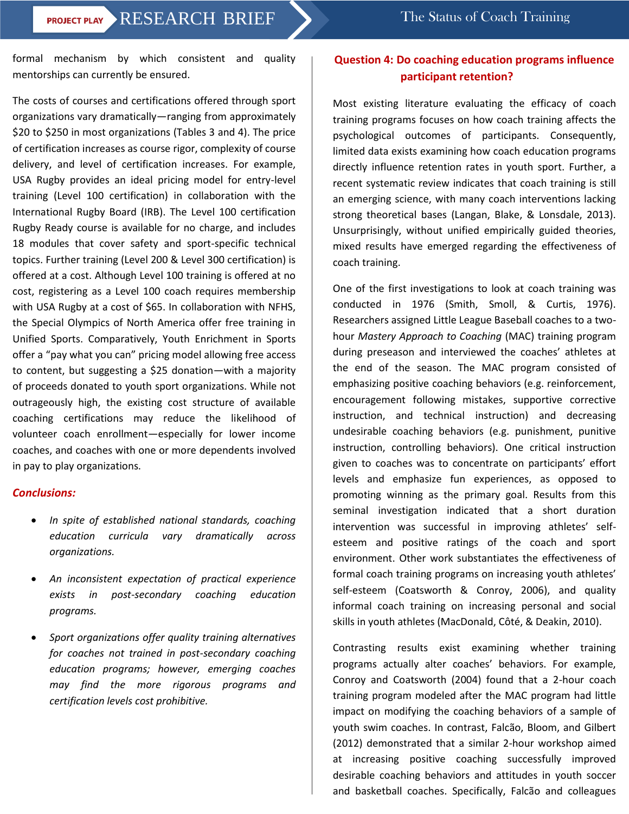# **PROJECT PLAY > RESEARCH BRIEF** > The Status of Coach Training

formal mechanism by which consistent and quality mentorships can currently be ensured.

The costs of courses and certifications offered through sport organizations vary dramatically—ranging from approximately \$20 to \$250 in most organizations (Tables 3 and 4). The price of certification increases as course rigor, complexity of course delivery, and level of certification increases. For example, USA Rugby provides an ideal pricing model for entry-level training (Level 100 certification) in collaboration with the International Rugby Board (IRB). The Level 100 certification Rugby Ready course is available for no charge, and includes 18 modules that cover safety and sport-specific technical topics. Further training (Level 200 & Level 300 certification) is offered at a cost. Although Level 100 training is offered at no cost, registering as a Level 100 coach requires membership with USA Rugby at a cost of \$65. In collaboration with NFHS, the Special Olympics of North America offer free training in Unified Sports. Comparatively, Youth Enrichment in Sports offer a "pay what you can" pricing model allowing free access to content, but suggesting a \$25 donation—with a majority of proceeds donated to youth sport organizations. While not outrageously high, the existing cost structure of available coaching certifications may reduce the likelihood of volunteer coach enrollment—especially for lower income coaches, and coaches with one or more dependents involved in pay to play organizations.

#### *Conclusions:*

- *In spite of established national standards, coaching education curricula vary dramatically across organizations.*
- *An inconsistent expectation of practical experience exists in post-secondary coaching education programs.*
- *Sport organizations offer quality training alternatives for coaches not trained in post-secondary coaching education programs; however, emerging coaches may find the more rigorous programs and certification levels cost prohibitive.*

### **Question 4: Do coaching education programs influence participant retention?**

Most existing literature evaluating the efficacy of coach training programs focuses on how coach training affects the psychological outcomes of participants. Consequently, limited data exists examining how coach education programs directly influence retention rates in youth sport. Further, a recent systematic review indicates that coach training is still an emerging science, with many coach interventions lacking strong theoretical bases (Langan, Blake, & Lonsdale, 2013). Unsurprisingly, without unified empirically guided theories, mixed results have emerged regarding the effectiveness of coach training.

One of the first investigations to look at coach training was conducted in 1976 (Smith, Smoll, & Curtis, 1976). Researchers assigned Little League Baseball coaches to a twohour *Mastery Approach to Coaching* (MAC) training program during preseason and interviewed the coaches' athletes at the end of the season. The MAC program consisted of emphasizing positive coaching behaviors (e.g. reinforcement, encouragement following mistakes, supportive corrective instruction, and technical instruction) and decreasing undesirable coaching behaviors (e.g. punishment, punitive instruction, controlling behaviors). One critical instruction given to coaches was to concentrate on participants' effort levels and emphasize fun experiences, as opposed to promoting winning as the primary goal. Results from this seminal investigation indicated that a short duration intervention was successful in improving athletes' selfesteem and positive ratings of the coach and sport environment. Other work substantiates the effectiveness of formal coach training programs on increasing youth athletes' self-esteem (Coatsworth & Conroy, 2006), and quality informal coach training on increasing personal and social skills in youth athletes (MacDonald, Côté, & Deakin, 2010).

Contrasting results exist examining whether training programs actually alter coaches' behaviors. For example, Conroy and Coatsworth (2004) found that a 2-hour coach training program modeled after the MAC program had little impact on modifying the coaching behaviors of a sample of youth swim coaches. In contrast, Falcão, Bloom, and Gilbert (2012) demonstrated that a similar 2-hour workshop aimed at increasing positive coaching successfully improved desirable coaching behaviors and attitudes in youth soccer and basketball coaches. Specifically, Falcão and colleagues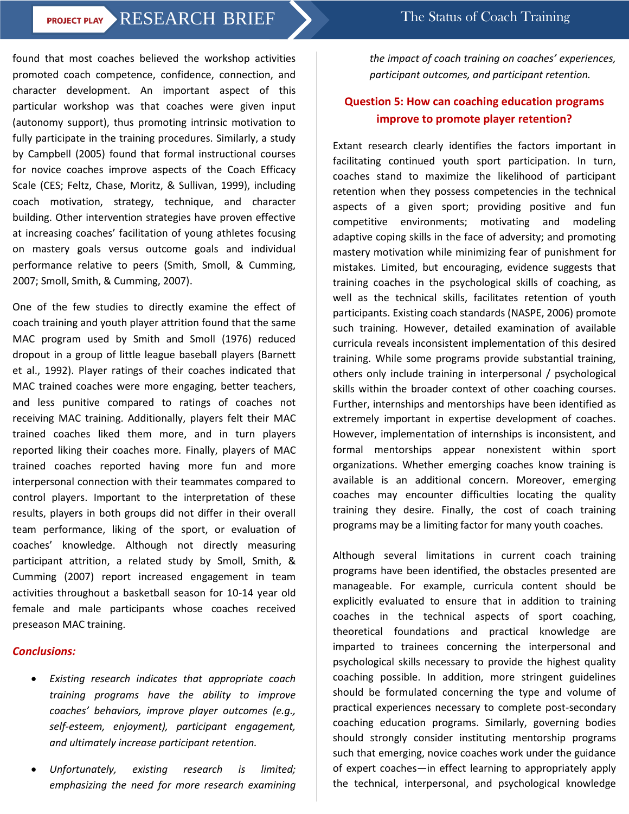### **PROJECT PLAY RESEARCH BRIEF** The Status of Coach Training

found that most coaches believed the workshop activities promoted coach competence, confidence, connection, and character development. An important aspect of this particular workshop was that coaches were given input (autonomy support), thus promoting intrinsic motivation to fully participate in the training procedures. Similarly, a study by Campbell (2005) found that formal instructional courses for novice coaches improve aspects of the Coach Efficacy Scale (CES; Feltz, Chase, Moritz, & Sullivan, 1999), including coach motivation, strategy, technique, and character building. Other intervention strategies have proven effective at increasing coaches' facilitation of young athletes focusing on mastery goals versus outcome goals and individual performance relative to peers (Smith, Smoll, & Cumming, 2007; Smoll, Smith, & Cumming, 2007).

One of the few studies to directly examine the effect of coach training and youth player attrition found that the same MAC program used by Smith and Smoll (1976) reduced dropout in a group of little league baseball players (Barnett et al., 1992). Player ratings of their coaches indicated that MAC trained coaches were more engaging, better teachers, and less punitive compared to ratings of coaches not receiving MAC training. Additionally, players felt their MAC trained coaches liked them more, and in turn players reported liking their coaches more. Finally, players of MAC trained coaches reported having more fun and more interpersonal connection with their teammates compared to control players. Important to the interpretation of these results, players in both groups did not differ in their overall team performance, liking of the sport, or evaluation of coaches' knowledge. Although not directly measuring participant attrition, a related study by Smoll, Smith, & Cumming (2007) report increased engagement in team activities throughout a basketball season for 10-14 year old female and male participants whose coaches received preseason MAC training.

#### *Conclusions:*

- *Existing research indicates that appropriate coach training programs have the ability to improve coaches' behaviors, improve player outcomes (e.g., self-esteem, enjoyment), participant engagement, and ultimately increase participant retention.*
- *Unfortunately, existing research is limited; emphasizing the need for more research examining*

*the impact of coach training on coaches' experiences, participant outcomes, and participant retention.*

#### **Question 5: How can coaching education programs improve to promote player retention?**

Extant research clearly identifies the factors important in facilitating continued youth sport participation. In turn, coaches stand to maximize the likelihood of participant retention when they possess competencies in the technical aspects of a given sport; providing positive and fun competitive environments; motivating and modeling adaptive coping skills in the face of adversity; and promoting mastery motivation while minimizing fear of punishment for mistakes. Limited, but encouraging, evidence suggests that training coaches in the psychological skills of coaching, as well as the technical skills, facilitates retention of youth participants. Existing coach standards (NASPE, 2006) promote such training. However, detailed examination of available curricula reveals inconsistent implementation of this desired training. While some programs provide substantial training, others only include training in interpersonal / psychological skills within the broader context of other coaching courses. Further, internships and mentorships have been identified as extremely important in expertise development of coaches. However, implementation of internships is inconsistent, and formal mentorships appear nonexistent within sport organizations. Whether emerging coaches know training is available is an additional concern. Moreover, emerging coaches may encounter difficulties locating the quality training they desire. Finally, the cost of coach training programs may be a limiting factor for many youth coaches.

Although several limitations in current coach training programs have been identified, the obstacles presented are manageable. For example, curricula content should be explicitly evaluated to ensure that in addition to training coaches in the technical aspects of sport coaching, theoretical foundations and practical knowledge are imparted to trainees concerning the interpersonal and psychological skills necessary to provide the highest quality coaching possible. In addition, more stringent guidelines should be formulated concerning the type and volume of practical experiences necessary to complete post-secondary coaching education programs. Similarly, governing bodies should strongly consider instituting mentorship programs such that emerging, novice coaches work under the guidance of expert coaches—in effect learning to appropriately apply the technical, interpersonal, and psychological knowledge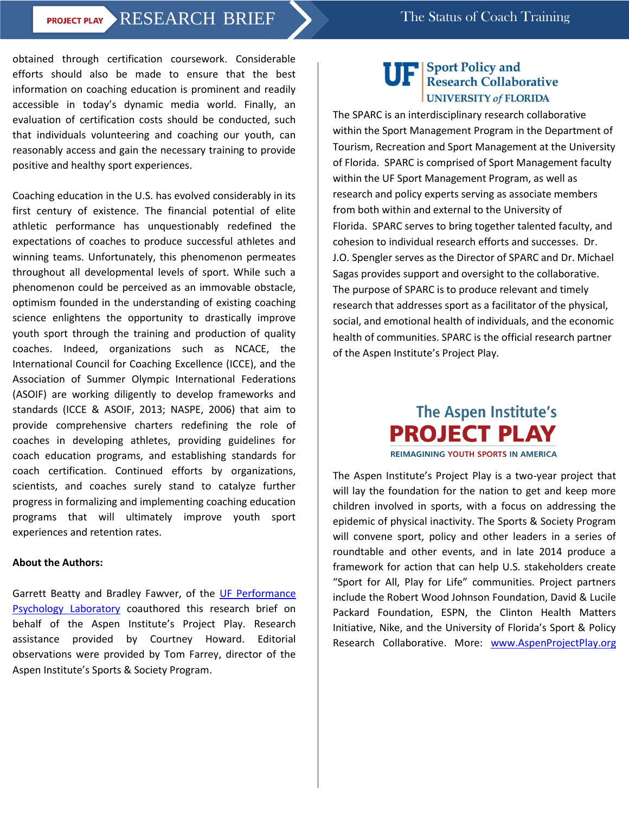## **PROJECT PLAY > RESEARCH BRIEF** > The Status of Coach Training

obtained through certification coursework. Considerable efforts should also be made to ensure that the best information on coaching education is prominent and readily accessible in today's dynamic media world. Finally, an evaluation of certification costs should be conducted, such that individuals volunteering and coaching our youth, can reasonably access and gain the necessary training to provide positive and healthy sport experiences.

Coaching education in the U.S. has evolved considerably in its first century of existence. The financial potential of elite athletic performance has unquestionably redefined the expectations of coaches to produce successful athletes and winning teams. Unfortunately, this phenomenon permeates throughout all developmental levels of sport. While such a phenomenon could be perceived as an immovable obstacle, optimism founded in the understanding of existing coaching science enlightens the opportunity to drastically improve youth sport through the training and production of quality coaches. Indeed, organizations such as NCACE, the International Council for Coaching Excellence (ICCE), and the Association of Summer Olympic International Federations (ASOIF) are working diligently to develop frameworks and standards (ICCE & ASOIF, 2013; NASPE, 2006) that aim to provide comprehensive charters redefining the role of coaches in developing athletes, providing guidelines for coach education programs, and establishing standards for coach certification. Continued efforts by organizations, scientists, and coaches surely stand to catalyze further progress in formalizing and implementing coaching education programs that will ultimately improve youth sport experiences and retention rates.

#### **About the Authors:**

Garrett Beatty and Bradley Fawver, of the [UF Performance](http://apk.hhp.ufl.edu/index.php/departments-centers/center-for-exercise-science-ces/performance-psychology-laboratory/)  [Psychology Laboratory](http://apk.hhp.ufl.edu/index.php/departments-centers/center-for-exercise-science-ces/performance-psychology-laboratory/) coauthored this research brief on behalf of the Aspen Institute's Project Play. Research assistance provided by Courtney Howard. Editorial observations were provided by Tom Farrey, director of the Aspen Institute's Sports & Society Program.

# **Sport Policy and<br>Research Collaborative UNIVERSITY of FLORIDA**

The SPARC is an interdisciplinary research collaborative within the Sport Management Program in the Department of Tourism, Recreation and Sport Management at the University of Florida. SPARC is comprised of Sport Management faculty within the UF Sport Management Program, as well as research and policy experts serving as associate members from both within and external to the University of Florida. SPARC serves to bring together talented faculty, and cohesion to individual research efforts and successes. Dr. J.O. Spengler serves as the Director of SPARC and Dr. Michael Sagas provides support and oversight to the collaborative. The purpose of SPARC is to produce relevant and timely research that addresses sport as a facilitator of the physical, social, and emotional health of individuals, and the economic health of communities. SPARC is the official research partner of the Aspen Institute's Project Play.

# **The Aspen Institute's PROJECT PLAY REIMAGINING YOUTH SPORTS IN AMERICA**

The Aspen Institute's Project Play is a two-year project that will lay the foundation for the nation to get and keep more children involved in sports, with a focus on addressing the epidemic of physical inactivity. The Sports & Society Program will convene sport, policy and other leaders in a series of roundtable and other events, and in late 2014 produce a framework for action that can help U.S. stakeholders create "Sport for All, Play for Life" communities. Project partners include the Robert Wood Johnson Foundation, David & Lucile Packard Foundation, ESPN, the Clinton Health Matters Initiative, Nike, and the University of Florida's Sport & Policy Research Collaborative. More: [www.AspenProjectPlay.org](http://www.aspenprojectplay.org/)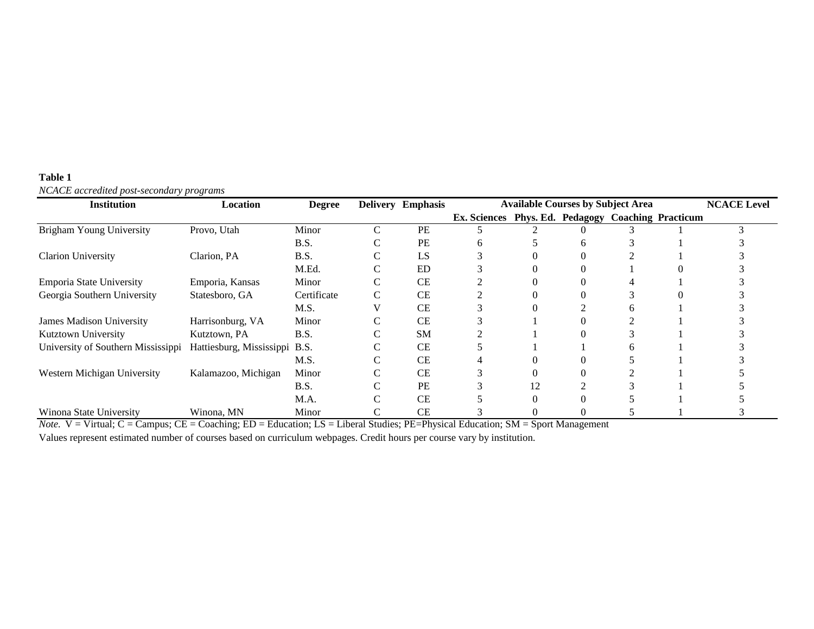| <b>Institution</b>                 | Location                      | <b>Degree</b> |   | <b>Delivery Emphasis</b> | <b>Available Courses by Subject Area</b>           |    |              |  |  | <b>NCACE Level</b> |
|------------------------------------|-------------------------------|---------------|---|--------------------------|----------------------------------------------------|----|--------------|--|--|--------------------|
|                                    |                               |               |   |                          | Ex. Sciences Phys. Ed. Pedagogy Coaching Practicum |    |              |  |  |                    |
| <b>Brigham Young University</b>    | Provo, Utah                   | Minor         | C | PE                       |                                                    |    |              |  |  |                    |
|                                    |                               | B.S.          |   | PE                       | 6                                                  |    | <sub>0</sub> |  |  |                    |
| <b>Clarion University</b>          | Clarion, PA                   | B.S.          |   | LS                       |                                                    |    |              |  |  |                    |
|                                    |                               | M.Ed.         |   | ED                       |                                                    |    |              |  |  |                    |
| Emporia State University           | Emporia, Kansas               | Minor         |   | <b>CE</b>                |                                                    |    |              |  |  |                    |
| Georgia Southern University        | Statesboro, GA                | Certificate   | C | <b>CE</b>                |                                                    |    |              |  |  |                    |
|                                    |                               | M.S.          |   | <b>CE</b>                |                                                    |    |              |  |  |                    |
| James Madison University           | Harrisonburg, VA              | Minor         |   | <b>CE</b>                |                                                    |    |              |  |  |                    |
| <b>Kutztown University</b>         | Kutztown, PA                  | B.S.          |   | <b>SM</b>                |                                                    |    |              |  |  |                    |
| University of Southern Mississippi | Hattiesburg, Mississippi B.S. |               |   | <b>CE</b>                |                                                    |    |              |  |  |                    |
|                                    |                               | M.S.          |   | CE                       |                                                    |    |              |  |  |                    |
| Western Michigan University        | Kalamazoo, Michigan           | Minor         |   | <b>CE</b>                |                                                    |    |              |  |  |                    |
|                                    |                               | B.S.          |   | PE                       |                                                    | 12 |              |  |  |                    |
|                                    |                               | M.A.          |   | CE                       |                                                    |    |              |  |  |                    |
| Winona State University            | Winona, MN                    | Minor         |   | CE                       |                                                    |    |              |  |  |                    |

#### **Table 1** *NCACE accredited post-secondary programs*

*Note.* V = Virtual; C = Campus; CE = Coaching; ED = Education; LS = Liberal Studies; PE=Physical Education; SM = Sport Management

Values represent estimated number of courses based on curriculum webpages. Credit hours per course vary by institution.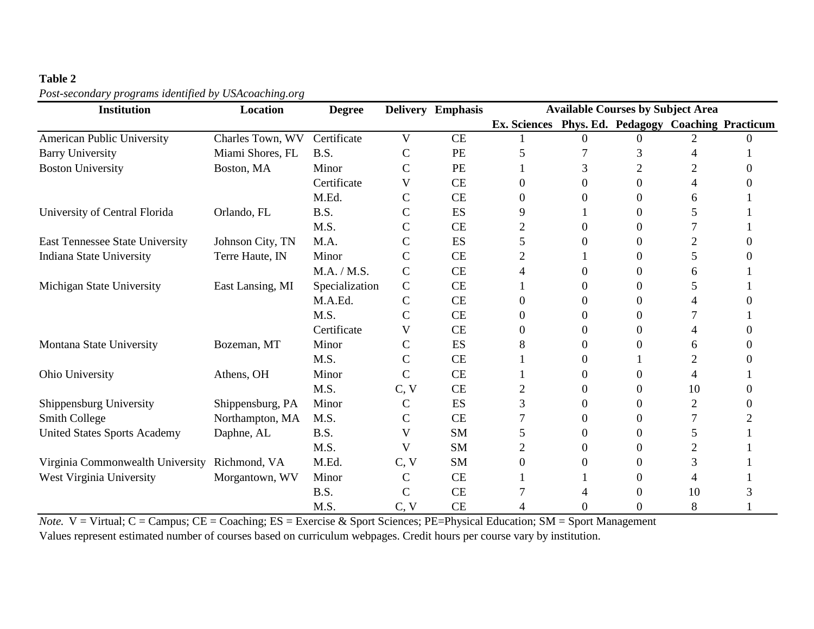#### **Table 2**

#### *Post-secondary programs identified by USAcoaching.org*

| <b>Institution</b>                     | <b>Location</b>  | <b>Degree</b>  |               | Delivery Emphasis | <b>Available Courses by Subject Area</b>           |          |                |    |  |
|----------------------------------------|------------------|----------------|---------------|-------------------|----------------------------------------------------|----------|----------------|----|--|
|                                        |                  |                |               |                   | Ex. Sciences Phys. Ed. Pedagogy Coaching Practicum |          |                |    |  |
| <b>American Public University</b>      | Charles Town, WV | Certificate    | V             | <b>CE</b>         |                                                    |          |                |    |  |
| <b>Barry University</b>                | Miami Shores, FL | B.S.           | $\mathbf C$   | PE                | 5                                                  |          | 3              |    |  |
| <b>Boston University</b>               | Boston, MA       | Minor          | $\mathcal{C}$ | PE                |                                                    | 3        | $\overline{2}$ |    |  |
|                                        |                  | Certificate    | V             | <b>CE</b>         | 0                                                  | 0        | 0              |    |  |
|                                        |                  | M.Ed.          | $\mathsf{C}$  | <b>CE</b>         | 0                                                  |          | 0              | 6  |  |
| University of Central Florida          | Orlando, FL      | B.S.           | $\mathsf{C}$  | ES                | 9                                                  |          | $\Omega$       | 5  |  |
|                                        |                  | M.S.           | $\mathsf{C}$  | <b>CE</b>         | $\overline{c}$                                     | 0        | 0              |    |  |
| <b>East Tennessee State University</b> | Johnson City, TN | M.A.           | $\mathsf{C}$  | ES                | 5                                                  | $\Omega$ | 0              | 2  |  |
| <b>Indiana State University</b>        | Terre Haute, IN  | Minor          | $\mathsf{C}$  | <b>CE</b>         | $\overline{2}$                                     |          | $\Omega$       | 5  |  |
|                                        |                  | M.A. / M.S.    | $\mathsf{C}$  | <b>CE</b>         | 4                                                  | 0        | 0              | 6  |  |
| Michigan State University              | East Lansing, MI | Specialization | $\mathbf C$   | <b>CE</b>         |                                                    | 0        | 0              |    |  |
|                                        |                  | M.A.Ed.        | $\mathsf{C}$  | <b>CE</b>         | $\Omega$                                           | 0        | 0              |    |  |
|                                        |                  | M.S.           | $\mathbf C$   | <b>CE</b>         | 0                                                  | 0        | 0              |    |  |
|                                        |                  | Certificate    | V             | <b>CE</b>         | 0                                                  | 0        | 0              | 4  |  |
| Montana State University               | Bozeman, MT      | Minor          | $\mathsf{C}$  | ES                | 8                                                  | 0        | 0              | 6  |  |
|                                        |                  | M.S.           | $\mathsf{C}$  | <b>CE</b>         |                                                    | 0        |                | 2  |  |
| Ohio University                        | Athens, OH       | Minor          | $\mathsf{C}$  | <b>CE</b>         |                                                    | 0        | $\Omega$       | 4  |  |
|                                        |                  | M.S.           | C, V          | <b>CE</b>         | $\overline{2}$                                     | 0        | 0              | 10 |  |
| Shippensburg University                | Shippensburg, PA | Minor          | $\mathsf{C}$  | ES                | 3                                                  | 0        | 0              | 2  |  |
| Smith College                          | Northampton, MA  | M.S.           | $\mathsf{C}$  | <b>CE</b>         |                                                    | $\Omega$ | 0              |    |  |
| <b>United States Sports Academy</b>    | Daphne, AL       | <b>B.S.</b>    | V             | <b>SM</b>         | 5                                                  | 0        | 0              | 5  |  |
|                                        |                  | M.S.           | V             | <b>SM</b>         | $\overline{2}$                                     | 0        | $\Omega$       | 2  |  |
| Virginia Commonwealth University       | Richmond, VA     | M.Ed.          | C, V          | <b>SM</b>         | 0                                                  | 0        | 0              | 3  |  |
| West Virginia University               | Morgantown, WV   | Minor          | $\mathsf{C}$  | CE                |                                                    |          | 0              |    |  |
|                                        |                  | B.S.           | $\mathcal{C}$ | <b>CE</b>         |                                                    |          |                | 10 |  |
|                                        |                  | M.S.           | C, V          | <b>CE</b>         | 4                                                  | 0        | 0              | 8  |  |

*Note.* V = Virtual; C = Campus; CE = Coaching; ES = Exercise & Sport Sciences; PE=Physical Education; SM = Sport Management Values represent estimated number of courses based on curriculum webpages. Credit hours per course vary by institution.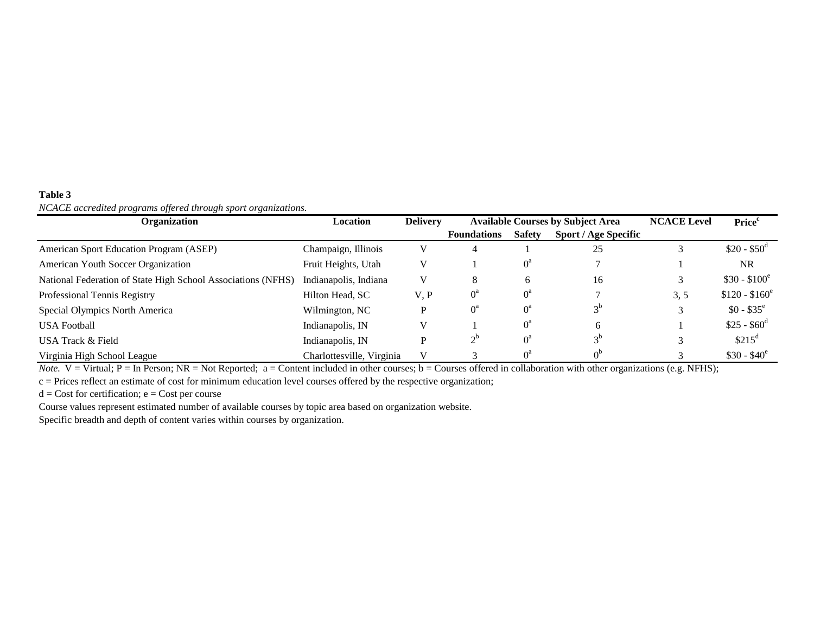#### **Table 3** *NCACE accredited programs offered through sport organizations.*

| ு<br>JJ<br>്<br><b>Organization</b>                          | Location                  | <b>Delivery</b> |                    | <b>Available Courses by Subject Area</b> | <b>NCACE Level</b>          | Price <sup>c</sup> |                     |
|--------------------------------------------------------------|---------------------------|-----------------|--------------------|------------------------------------------|-----------------------------|--------------------|---------------------|
|                                                              |                           |                 | <b>Foundations</b> | <b>Safety</b>                            | <b>Sport / Age Specific</b> |                    |                     |
| American Sport Education Program (ASEP)                      | Champaign, Illinois       |                 | 4                  |                                          | 25                          |                    | $$20 - $50^{\circ}$ |
| American Youth Soccer Organization                           | Fruit Heights, Utah       |                 |                    | $0^{\circ}$                              |                             |                    | <b>NR</b>           |
| National Federation of State High School Associations (NFHS) | Indianapolis, Indiana     |                 | 8                  | 6                                        | 16                          |                    | $$30 - $100^e$      |
| Professional Tennis Registry                                 | Hilton Head, SC           | V. P            | $0^{\rm a}$        | $0^{\rm a}$                              |                             | 3, 5               | $$120 - $160^e$     |
| Special Olympics North America                               | Wilmington, NC            |                 | 0ª                 | $0^{\circ}$                              |                             |                    | $$0 - $35^{\circ}$$ |
| <b>USA Football</b>                                          | Indianapolis, IN          |                 |                    | $0^a$                                    | <sub>0</sub>                |                    | $$25 - $60^d$       |
| USA Track & Field                                            | Indianapolis, IN          |                 | $\gamma^0$         | $0^{\rm a}$                              | $3^{\circ}$                 |                    | \$215 <sup>d</sup>  |
| Virginia High School League                                  | Charlottesville, Virginia |                 |                    |                                          |                             |                    | $$30 - $40^e$       |

*Note.*  $V = V$ irtual;  $P = In Person$ ;  $NR = Not Reported$ ;  $a = Content$  included in other courses;  $b = Courses$  offered in collaboration with other organizations (e.g. NFHS);

c = Prices reflect an estimate of cost for minimum education level courses offered by the respective organization;

 $d = Cost for certification; e = Cost per course$ 

Course values represent estimated number of available courses by topic area based on organization website.

Specific breadth and depth of content varies within courses by organization.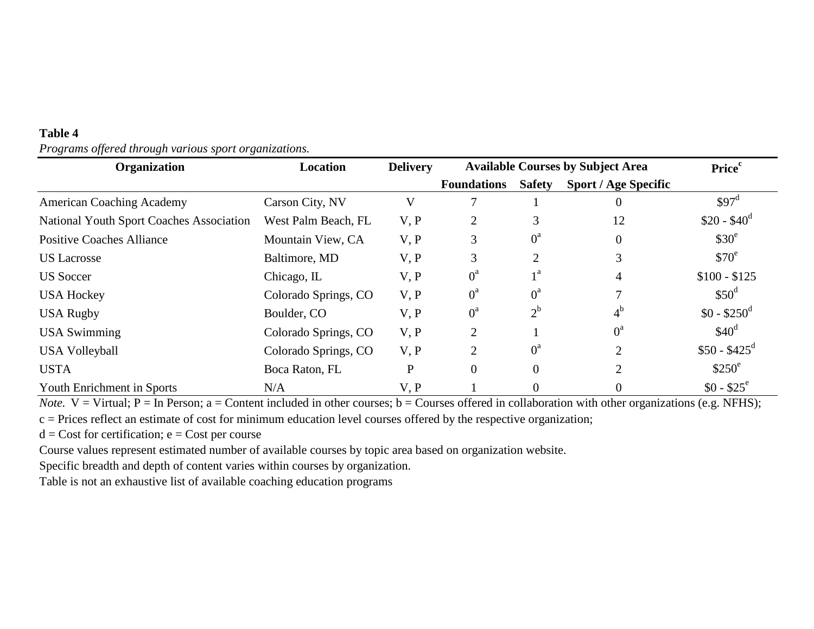| Organization                             | Location             | <b>Delivery</b> | <b>Available Courses by Subject Area</b> | Price <sup>c</sup> |                             |                     |
|------------------------------------------|----------------------|-----------------|------------------------------------------|--------------------|-----------------------------|---------------------|
|                                          |                      |                 | <b>Foundations</b>                       | <b>Safety</b>      | <b>Sport / Age Specific</b> |                     |
| <b>American Coaching Academy</b>         | Carson City, NV      | V               |                                          |                    |                             | \$97 <sup>d</sup>   |
| National Youth Sport Coaches Association | West Palm Beach, FL  | V, P            | $\overline{2}$                           | 3                  | 12                          | $$20 - $40^d$       |
| <b>Positive Coaches Alliance</b>         | Mountain View, CA    | V, P            | 3                                        | $0^{\rm a}$        | $\Omega$                    | $$30^{\circ}$       |
| <b>US</b> Lacrosse                       | Baltimore, MD        | V, P            | 3                                        | $\overline{2}$     | 3                           | \$70 <sup>e</sup>   |
| <b>US</b> Soccer                         | Chicago, IL          | V, P            | $0^a$                                    | $_1a$              | 4                           | $$100 - $125$       |
| <b>USA Hockey</b>                        | Colorado Springs, CO | V, P            | $0^{\rm a}$                              | $0^a$              |                             | $$50^{\circ}$       |
| <b>USA Rugby</b>                         | Boulder, CO          | V, P            | $0^a$                                    | $2^{\rm b}$        | $4^{\rm b}$                 | $$0 - $250^{\circ}$ |
| <b>USA Swimming</b>                      | Colorado Springs, CO | V, P            | $\overline{2}$                           |                    | $0^a$                       | \$40 <sup>d</sup>   |
| <b>USA Volleyball</b>                    | Colorado Springs, CO | V, P            | $\overline{2}$                           | $0^{\rm a}$        | $\overline{2}$              | $$50 - $425^d$      |
| <b>USTA</b>                              | Boca Raton, FL       | P               | $\mathbf{0}$                             | $\theta$           | $\overline{2}$              | $$250^{\circ}$      |
| <b>Youth Enrichment in Sports</b>        | N/A                  | V, P            |                                          | $\overline{0}$     |                             | $$0 - $25^{\circ}$$ |

#### **Table 4** *Programs offered through various sport organizations.*

*Note.*  $V = V$ irtual;  $P = In$  Person; a = Content included in other courses; b = Courses offered in collaboration with other organizations (e.g. NFHS); c = Prices reflect an estimate of cost for minimum education level courses offered by the respective organization;

 $d = Cost for certification; e = Cost per course$ 

Course values represent estimated number of available courses by topic area based on organization website.

Specific breadth and depth of content varies within courses by organization.

Table is not an exhaustive list of available coaching education programs